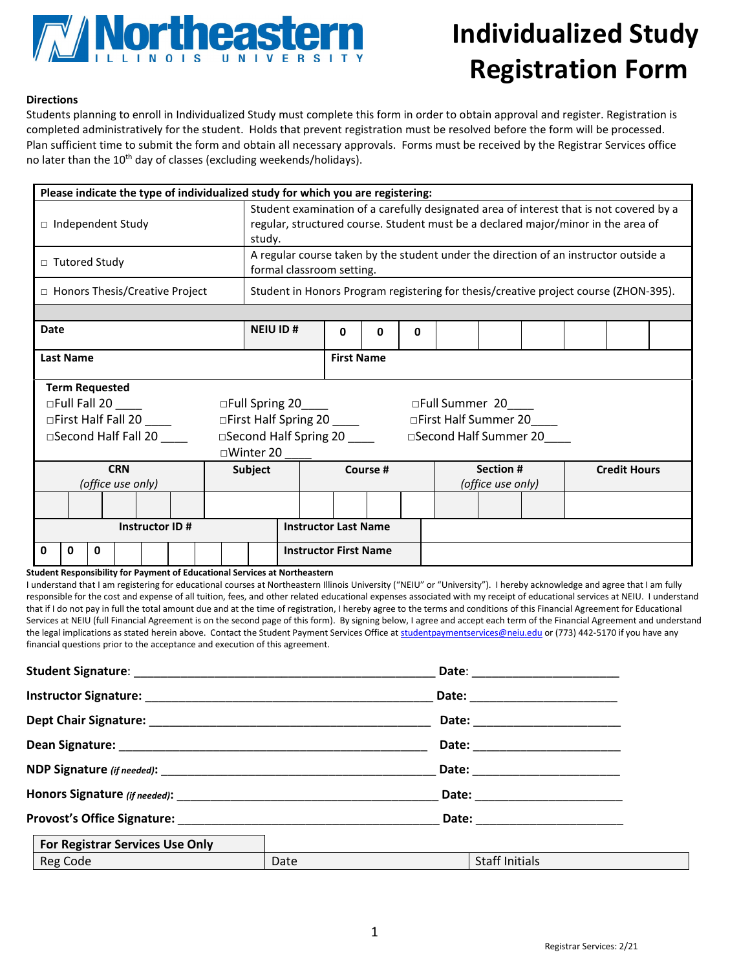

## **Individualized Study Registration Form**

## **Directions**

Students planning to enroll in Individualized Study must complete this form in order to obtain approval and register. Registration is completed administratively for the student. Holds that prevent registration must be resolved before the form will be processed. Plan sufficient time to submit the form and obtain all necessary approvals. Forms must be received by the Registrar Services office no later than the 10<sup>th</sup> day of classes (excluding weekends/holidays).

| Please indicate the type of individualized study for which you are registering:                                      |                                                                                                                                                                                        |                              |   |                   |  |                     |  |  |  |  |
|----------------------------------------------------------------------------------------------------------------------|----------------------------------------------------------------------------------------------------------------------------------------------------------------------------------------|------------------------------|---|-------------------|--|---------------------|--|--|--|--|
| $\Box$ Independent Study                                                                                             | Student examination of a carefully designated area of interest that is not covered by a<br>regular, structured course. Student must be a declared major/minor in the area of<br>study. |                              |   |                   |  |                     |  |  |  |  |
| □ Tutored Study                                                                                                      | A regular course taken by the student under the direction of an instructor outside a<br>formal classroom setting.                                                                      |                              |   |                   |  |                     |  |  |  |  |
| □ Honors Thesis/Creative Project                                                                                     | Student in Honors Program registering for thesis/creative project course (ZHON-395).                                                                                                   |                              |   |                   |  |                     |  |  |  |  |
|                                                                                                                      |                                                                                                                                                                                        |                              |   |                   |  |                     |  |  |  |  |
| Date                                                                                                                 | <b>NEIU ID#</b>                                                                                                                                                                        | <sup>0</sup>                 | O | 0                 |  |                     |  |  |  |  |
| <b>Last Name</b>                                                                                                     |                                                                                                                                                                                        | <b>First Name</b>            |   |                   |  |                     |  |  |  |  |
| <b>Term Requested</b>                                                                                                |                                                                                                                                                                                        |                              |   |                   |  |                     |  |  |  |  |
| $\Box$ Full Fall 20 ____<br>□Full Spring 20_<br>□Full Summer 20<br>$\frac{1}{2}$ and $\frac{1}{2}$ and $\frac{1}{2}$ |                                                                                                                                                                                        |                              |   |                   |  |                     |  |  |  |  |
| □First Half Spring 20<br>□First Half Fall 20<br>□First Half Summer 20                                                |                                                                                                                                                                                        |                              |   |                   |  |                     |  |  |  |  |
| □Second Half Fall 20<br>□Second Half Spring 20<br>□Second Half Summer 20                                             |                                                                                                                                                                                        |                              |   |                   |  |                     |  |  |  |  |
|                                                                                                                      | □Winter 20                                                                                                                                                                             |                              |   |                   |  |                     |  |  |  |  |
| <b>CRN</b>                                                                                                           | Subject                                                                                                                                                                                | Course #                     |   | Section #         |  | <b>Credit Hours</b> |  |  |  |  |
| (office use only)                                                                                                    |                                                                                                                                                                                        |                              |   | (office use only) |  |                     |  |  |  |  |
|                                                                                                                      |                                                                                                                                                                                        |                              |   |                   |  |                     |  |  |  |  |
| Instructor ID#                                                                                                       |                                                                                                                                                                                        | <b>Instructor Last Name</b>  |   |                   |  |                     |  |  |  |  |
| 0<br>0<br>o                                                                                                          |                                                                                                                                                                                        | <b>Instructor First Name</b> |   |                   |  |                     |  |  |  |  |

**Student Responsibility for Payment of Educational Services at Northeastern**

I understand that I am registering for educational courses at Northeastern Illinois University ("NEIU" or "University"). I hereby acknowledge and agree that I am fully responsible for the cost and expense of all tuition, fees, and other related educational expenses associated with my receipt of educational services at NEIU. I understand that if I do not pay in full the total amount due and at the time of registration, I hereby agree to the terms and conditions of this Financial Agreement for Educational Services at NEIU (full Financial Agreement is on the second page of this form). By signing below, I agree and accept each term of the Financial Agreement and understand the legal implications as stated herein above. Contact the Student Payment Services Office at [studentpaymentservices@neiu.edu](mailto:studentpaymentservices@neiu.edu) or (773) 442-5170 if you have any financial questions prior to the acceptance and execution of this agreement.

|                                        |      | Date: __________________________ |  |  |
|----------------------------------------|------|----------------------------------|--|--|
|                                        |      | Date: ________________________   |  |  |
|                                        |      |                                  |  |  |
|                                        |      | Date: ___________                |  |  |
|                                        |      | Date: _____________________      |  |  |
|                                        |      |                                  |  |  |
| <b>For Registrar Services Use Only</b> |      |                                  |  |  |
| Reg Code                               | Date | Staff Initials                   |  |  |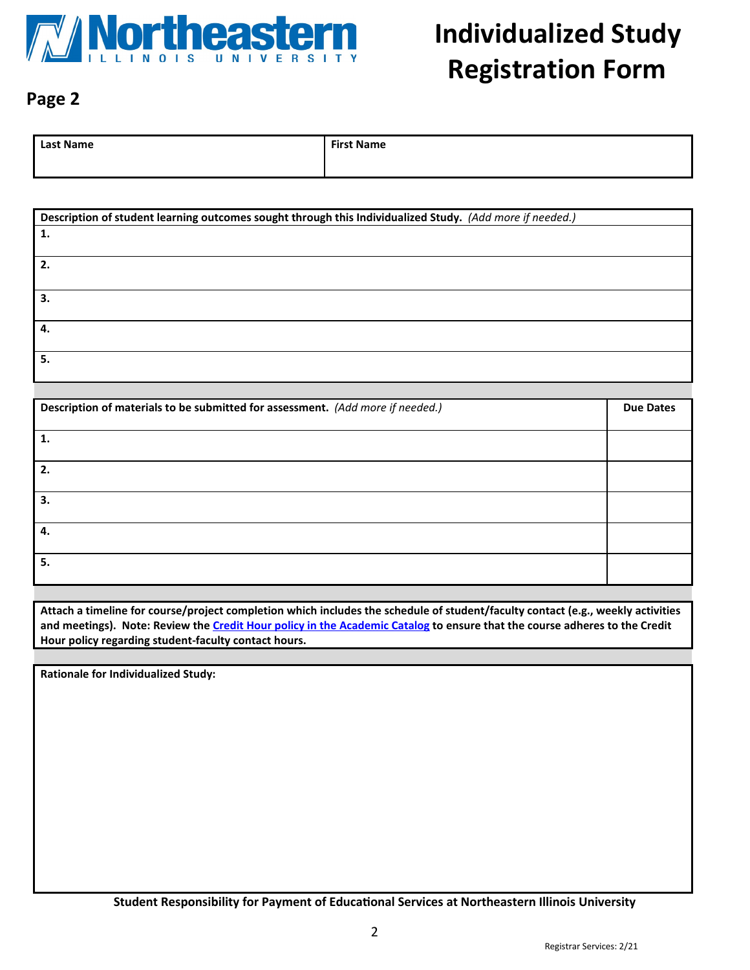

## **Page 2**

| <b>Last Name</b> | <b>First Name</b> |
|------------------|-------------------|
|                  |                   |

| Description of student learning outcomes sought through this Individualized Study. (Add more if needed.) |
|----------------------------------------------------------------------------------------------------------|
| 1.                                                                                                       |
|                                                                                                          |
|                                                                                                          |
|                                                                                                          |
| З.                                                                                                       |
|                                                                                                          |
| 4.                                                                                                       |
|                                                                                                          |
| 5.                                                                                                       |
|                                                                                                          |

| Description of materials to be submitted for assessment. (Add more if needed.) | <b>Due Dates</b> |
|--------------------------------------------------------------------------------|------------------|
| 1.                                                                             |                  |
| 2.                                                                             |                  |
| 3.                                                                             |                  |
| 4.                                                                             |                  |
| 5.                                                                             |                  |

**Attach a timeline for course/project completion which includes the schedule of student/faculty contact (e.g., weekly activities and meetings). Note: Review the [Credit Hour policy in the Academic Catalog](http://catalog.neiu.edu/academics/registration/) to ensure that the course adheres to the Credit Hour policy regarding student-faculty contact hours.**

**Rationale for Individualized Study:**